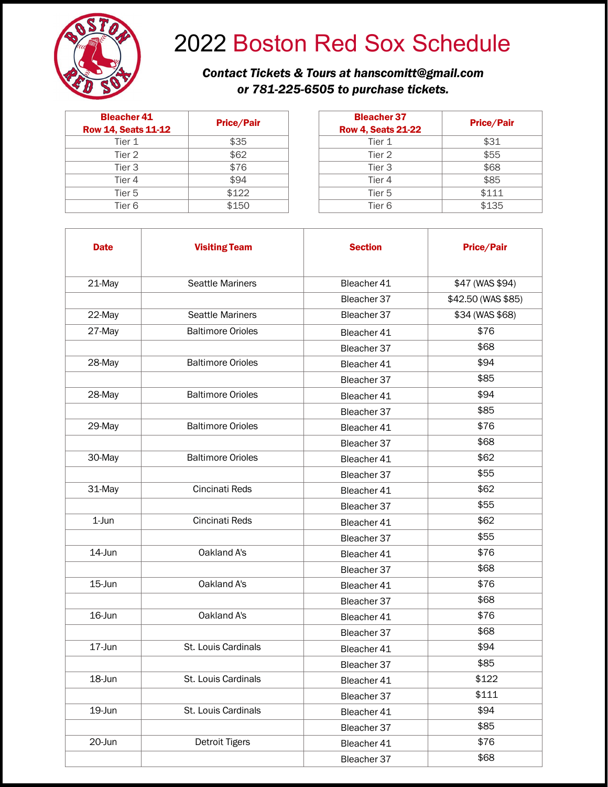

## 2022 Boston Red Sox Schedule

## *Contact Tickets & Tours at hanscomitt@gmail.com or 781-225-6505 to purchase tickets.*

| <b>Bleacher 41</b><br><b>Row 14, Seats 11-12</b> | <b>Price/Pair</b> | <b>Bleacher 37</b><br>Row 4, Seats 21 |
|--------------------------------------------------|-------------------|---------------------------------------|
| Tier 1                                           | \$35              | Tier 1                                |
| Tier 2                                           | \$62              | Tier 2                                |
| Tier <sub>3</sub>                                | \$76              | Tier <sub>3</sub>                     |
| Tier 4                                           | \$94              | Tier 4                                |
| Tier 5                                           | \$122             | Tier 5                                |
| Tier <sub>6</sub>                                | \$150             | Tier <sub>6</sub>                     |

| acher 41<br>Seats 11-12 | <b>Price/Pair</b> | <b>Bleacher 37</b><br><b>Row 4, Seats 21-22</b> | <b>Price/Pair</b> |
|-------------------------|-------------------|-------------------------------------------------|-------------------|
| Tier 1                  | \$35              | Tier 1                                          | \$31              |
| Tier 2                  | \$62              | Tier 2                                          | \$55              |
| Tier 3                  | \$76              | Tier <sub>3</sub>                               | \$68              |
| Tier 4                  | \$94              | Tier 4                                          | \$85              |
| Tier 5                  | \$122             | Tier 5                                          | \$111             |
| Tier 6                  | \$150             | Tier <sub>6</sub>                               | \$135             |

| <b>Date</b> | <b>Visiting Team</b>     | <b>Section</b> | <b>Price/Pair</b>  |
|-------------|--------------------------|----------------|--------------------|
| 21-May      | <b>Seattle Mariners</b>  | Bleacher 41    | \$47 (WAS \$94)    |
|             |                          | Bleacher 37    | \$42.50 (WAS \$85) |
| 22-May      | <b>Seattle Mariners</b>  | Bleacher 37    | \$34 (WAS \$68)    |
| 27-May      | <b>Baltimore Orioles</b> | Bleacher 41    | \$76               |
|             |                          | Bleacher 37    | \$68               |
| 28-May      | <b>Baltimore Orioles</b> | Bleacher 41    | \$94               |
|             |                          | Bleacher 37    | \$85               |
| 28-May      | <b>Baltimore Orioles</b> | Bleacher 41    | \$94               |
|             |                          | Bleacher 37    | \$85               |
| 29-May      | <b>Baltimore Orioles</b> | Bleacher 41    | \$76               |
|             |                          | Bleacher 37    | \$68               |
| 30-May      | <b>Baltimore Orioles</b> | Bleacher 41    | \$62               |
|             |                          | Bleacher 37    | \$55               |
| 31-May      | Cincinati Reds           | Bleacher 41    | \$62               |
|             |                          | Bleacher 37    | \$55               |
| $1-Jun$     | Cincinati Reds           | Bleacher 41    | \$62               |
|             |                          | Bleacher 37    | \$55               |
| 14-Jun      | Oakland A's              | Bleacher 41    | \$76               |
|             |                          | Bleacher 37    | \$68               |
| 15-Jun      | Oakland A's              | Bleacher 41    | \$76               |
|             |                          | Bleacher 37    | \$68               |
| 16-Jun      | Oakland A's              | Bleacher 41    | \$76               |
|             |                          | Bleacher 37    | \$68               |
| 17-Jun      | St. Louis Cardinals      | Bleacher 41    | \$94               |
|             |                          | Bleacher 37    | \$85               |
| 18-Jun      | St. Louis Cardinals      | Bleacher 41    | \$122              |
|             |                          | Bleacher 37    | \$111              |
| 19-Jun      | St. Louis Cardinals      | Bleacher 41    | \$94               |
|             |                          | Bleacher 37    | \$85               |
| 20-Jun      | <b>Detroit Tigers</b>    | Bleacher 41    | \$76               |
|             |                          | Bleacher 37    | \$68               |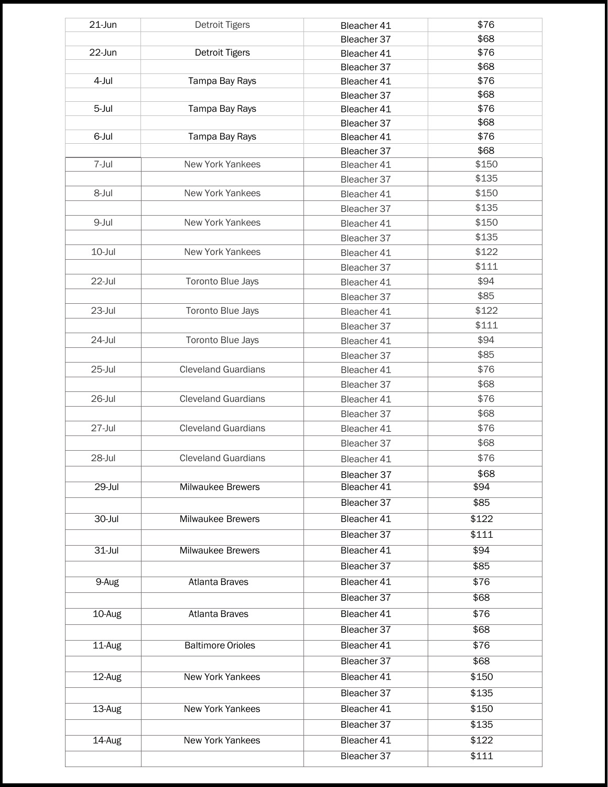| 21-Jun     | <b>Detroit Tigers</b>      | Bleacher 41 | \$76  |
|------------|----------------------------|-------------|-------|
|            |                            | Bleacher 37 | \$68  |
| 22-Jun     | Detroit Tigers             | Bleacher 41 | \$76  |
|            |                            | Bleacher 37 | \$68  |
| 4-Jul      | Tampa Bay Rays             | Bleacher 41 | \$76  |
|            |                            | Bleacher 37 | \$68  |
| 5-Jul      | Tampa Bay Rays             | Bleacher 41 | \$76  |
|            |                            | Bleacher 37 | \$68  |
| 6-Jul      | Tampa Bay Rays             | Bleacher 41 | \$76  |
|            |                            | Bleacher 37 | \$68  |
| 7-Jul      | New York Yankees           | Bleacher 41 | \$150 |
|            |                            | Bleacher 37 | \$135 |
| 8-Jul      | New York Yankees           | Bleacher 41 | \$150 |
|            |                            | Bleacher 37 | \$135 |
| 9-Jul      | New York Yankees           | Bleacher 41 | \$150 |
|            |                            | Bleacher 37 | \$135 |
| 10-Jul     | New York Yankees           | Bleacher 41 | \$122 |
|            |                            | Bleacher 37 | \$111 |
| 22-Jul     | Toronto Blue Jays          | Bleacher 41 | \$94  |
|            |                            | Bleacher 37 | \$85  |
| 23-Jul     | Toronto Blue Jays          | Bleacher 41 | \$122 |
|            |                            | Bleacher 37 | \$111 |
| 24-Jul     | Toronto Blue Jays          | Bleacher 41 | \$94  |
|            |                            | Bleacher 37 | \$85  |
| 25-Jul     | <b>Cleveland Guardians</b> | Bleacher 41 | \$76  |
|            |                            | Bleacher 37 | \$68  |
| 26-Jul     | <b>Cleveland Guardians</b> | Bleacher 41 | \$76  |
|            |                            | Bleacher 37 | \$68  |
| 27-Jul     | <b>Cleveland Guardians</b> | Bleacher 41 | \$76  |
|            |                            | Bleacher 37 | \$68  |
| 28-Jul     | <b>Cleveland Guardians</b> | Bleacher 41 | \$76  |
|            |                            | Bleacher 37 | \$68  |
| 29-Jul     | Milwaukee Brewers          | Bleacher 41 | \$94  |
|            |                            | Bleacher 37 | \$85  |
| $30 -$ Jul | <b>Milwaukee Brewers</b>   | Bleacher 41 | \$122 |
|            |                            | Bleacher 37 | \$111 |
| $31 -$ Jul | <b>Milwaukee Brewers</b>   | Bleacher 41 | \$94  |
|            |                            | Bleacher 37 | \$85  |
| 9-Aug      | <b>Atlanta Braves</b>      | Bleacher 41 | \$76  |
|            |                            |             |       |
|            |                            | Bleacher 37 | \$68  |
| 10-Aug     | <b>Atlanta Braves</b>      | Bleacher 41 | \$76  |
|            |                            | Bleacher 37 | \$68  |
| 11-Aug     | <b>Baltimore Orioles</b>   | Bleacher 41 | \$76  |
|            |                            | Bleacher 37 | \$68  |
| 12-Aug     | New York Yankees           | Bleacher 41 | \$150 |
|            |                            | Bleacher 37 | \$135 |
| 13-Aug     | New York Yankees           | Bleacher 41 | \$150 |
|            |                            | Bleacher 37 | \$135 |
| 14-Aug     | <b>New York Yankees</b>    | Bleacher 41 | \$122 |
|            |                            | Bleacher 37 | \$111 |
|            |                            |             |       |